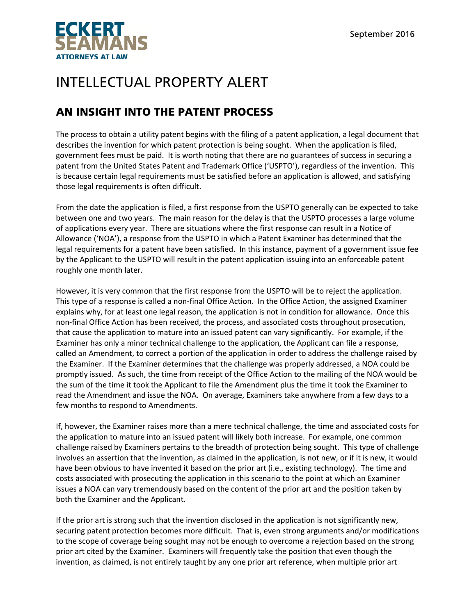

## INTELLECTUAL PROPERTY ALERT

## AN INSIGHT INTO THE PATENT PROCESS

The process to obtain a utility patent begins with the filing of a patent application, a legal document that describes the invention for which patent protection is being sought. When the application is filed, government fees must be paid. It is worth noting that there are no guarantees of success in securing a patent from the United States Patent and Trademark Office ('USPTO'), regardless of the invention. This is because certain legal requirements must be satisfied before an application is allowed, and satisfying those legal requirements is often difficult.

From the date the application is filed, a first response from the USPTO generally can be expected to take between one and two years. The main reason for the delay is that the USPTO processes a large volume of applications every year. There are situations where the first response can result in a Notice of Allowance ('NOA'), a response from the USPTO in which a Patent Examiner has determined that the legal requirements for a patent have been satisfied. In this instance, payment of a government issue fee by the Applicant to the USPTO will result in the patent application issuing into an enforceable patent roughly one month later.

However, it is very common that the first response from the USPTO will be to reject the application. This type of a response is called a non‐final Office Action. In the Office Action, the assigned Examiner explains why, for at least one legal reason, the application is not in condition for allowance. Once this non‐final Office Action has been received, the process, and associated costs throughout prosecution, that cause the application to mature into an issued patent can vary significantly. For example, if the Examiner has only a minor technical challenge to the application, the Applicant can file a response, called an Amendment, to correct a portion of the application in order to address the challenge raised by the Examiner. If the Examiner determines that the challenge was properly addressed, a NOA could be promptly issued. As such, the time from receipt of the Office Action to the mailing of the NOA would be the sum of the time it took the Applicant to file the Amendment plus the time it took the Examiner to read the Amendment and issue the NOA. On average, Examiners take anywhere from a few days to a few months to respond to Amendments.

If, however, the Examiner raises more than a mere technical challenge, the time and associated costs for the application to mature into an issued patent will likely both increase. For example, one common challenge raised by Examiners pertains to the breadth of protection being sought. This type of challenge involves an assertion that the invention, as claimed in the application, is not new, or if it is new, it would have been obvious to have invented it based on the prior art (i.e., existing technology). The time and costs associated with prosecuting the application in this scenario to the point at which an Examiner issues a NOA can vary tremendously based on the content of the prior art and the position taken by both the Examiner and the Applicant.

If the prior art is strong such that the invention disclosed in the application is not significantly new, securing patent protection becomes more difficult. That is, even strong arguments and/or modifications to the scope of coverage being sought may not be enough to overcome a rejection based on the strong prior art cited by the Examiner. Examiners will frequently take the position that even though the invention, as claimed, is not entirely taught by any one prior art reference, when multiple prior art